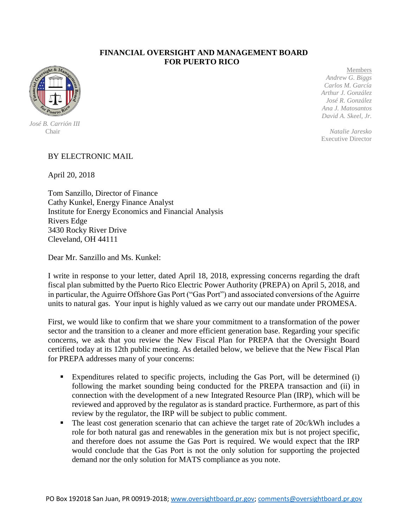## **FINANCIAL OVERSIGHT AND MANAGEMENT BOARD FOR PUERTO RICO**



 *José B. Carrión III* 

 Members *Andrew G. Biggs Carlos M. García Arthur J. González José R. González Ana J. Matosantos David A. Skeel, Jr.*

Chair *Natalie Jaresko* Executive Director

## BY ELECTRONIC MAIL

April 20, 2018

Tom Sanzillo, Director of Finance Cathy Kunkel, Energy Finance Analyst Institute for Energy Economics and Financial Analysis Rivers Edge 3430 Rocky River Drive Cleveland, OH 44111

Dear Mr. Sanzillo and Ms. Kunkel:

I write in response to your letter, dated April 18, 2018, expressing concerns regarding the draft fiscal plan submitted by the Puerto Rico Electric Power Authority (PREPA) on April 5, 2018, and in particular, the Aguirre Offshore Gas Port ("Gas Port") and associated conversions of the Aguirre units to natural gas. Your input is highly valued as we carry out our mandate under PROMESA.

First, we would like to confirm that we share your commitment to a transformation of the power sector and the transition to a cleaner and more efficient generation base. Regarding your specific concerns, we ask that you review the New Fiscal Plan for PREPA that the Oversight Board certified today at its 12th public meeting. As detailed below, we believe that the New Fiscal Plan for PREPA addresses many of your concerns:

- Expenditures related to specific projects, including the Gas Port, will be determined (i) following the market sounding being conducted for the PREPA transaction and (ii) in connection with the development of a new Integrated Resource Plan (IRP), which will be reviewed and approved by the regulator as is standard practice. Furthermore, as part of this review by the regulator, the IRP will be subject to public comment.
- $\blacksquare$  The least cost generation scenario that can achieve the target rate of 20 $c/kWh$  includes a role for both natural gas and renewables in the generation mix but is not project specific, and therefore does not assume the Gas Port is required. We would expect that the IRP would conclude that the Gas Port is not the only solution for supporting the projected demand nor the only solution for MATS compliance as you note.